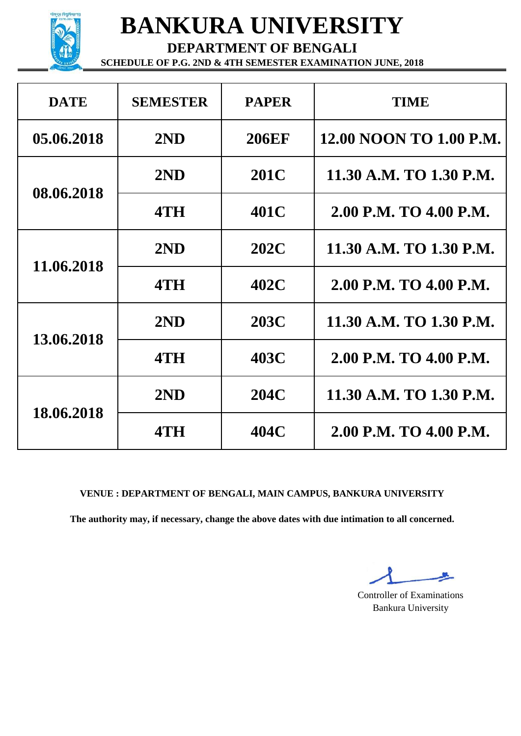

**DEPARTMENT OF BENGALI**

**SCHEDULE OF P.G. 2ND & 4TH SEMESTER EXAMINATION JUNE, 2018**

| <b>DATE</b> | <b>SEMESTER</b> | <b>PAPER</b> | <b>TIME</b>             |
|-------------|-----------------|--------------|-------------------------|
| 05.06.2018  | 2ND             | <b>206EF</b> | 12.00 NOON TO 1.00 P.M. |
|             | 2ND             | <b>201C</b>  | 11.30 A.M. TO 1.30 P.M. |
| 08.06.2018  | 4TH             | 401C         | 2.00 P.M. TO 4.00 P.M.  |
| 11.06.2018  | 2ND             | 202C         | 11.30 A.M. TO 1.30 P.M. |
|             | 4TH             | 402C         | 2.00 P.M. TO 4.00 P.M.  |
| 13.06.2018  | 2ND             | <b>203C</b>  | 11.30 A.M. TO 1.30 P.M. |
|             | 4TH             | 403C         | 2.00 P.M. TO 4.00 P.M.  |
| 18.06.2018  | 2ND             | 204C         | 11.30 A.M. TO 1.30 P.M. |
|             | 4TH             | 404C         | 2.00 P.M. TO 4.00 P.M.  |

**VENUE : DEPARTMENT OF BENGALI, MAIN CAMPUS, BANKURA UNIVERSITY**

Controller of Examinations Bankura University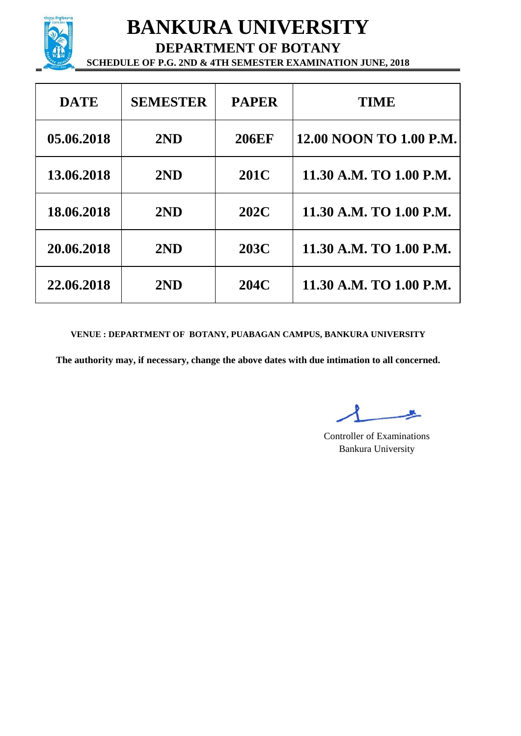

**DEPARTMENT OF BOTANY**

**SCHEDULE OF P.G. 2ND & 4TH SEMESTER EXAMINATION JUNE, 2018**

| <b>DATE</b> | <b>SEMESTER</b> | <b>PAPER</b> | <b>TIME</b>             |
|-------------|-----------------|--------------|-------------------------|
| 05.06.2018  | 2ND             | <b>206EF</b> | 12.00 NOON TO 1.00 P.M. |
| 13.06.2018  | 2ND             | 201C         | 11.30 A.M. TO 1.00 P.M. |
| 18.06.2018  | 2ND             | 202C         | 11.30 A.M. TO 1.00 P.M. |
| 20.06.2018  | 2ND             | <b>203C</b>  | 11.30 A.M. TO 1.00 P.M. |
| 22.06.2018  | 2ND             | 204C         | 11.30 A.M. TO 1.00 P.M. |

**VENUE : DEPARTMENT OF BOTANY, PUABAGAN CAMPUS, BANKURA UNIVERSITY**

Controller of Examinations Bankura University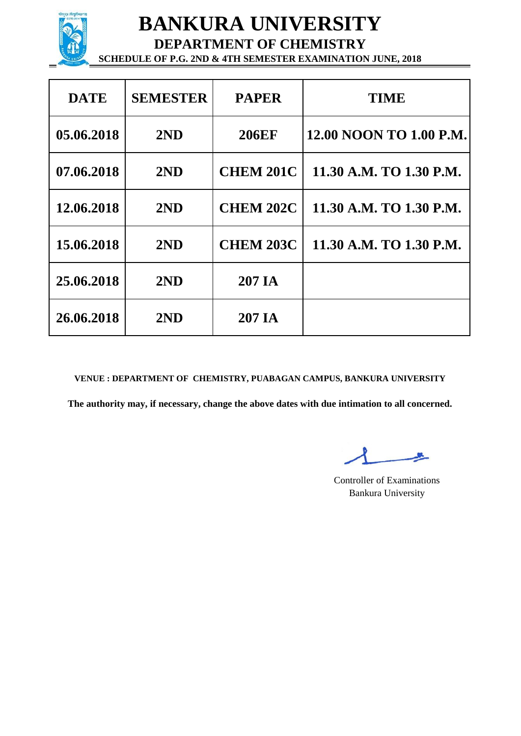

**DEPARTMENT OF CHEMISTRY SCHEDULE OF P.G. 2ND & 4TH SEMESTER EXAMINATION JUNE, 2018**

| <b>DATE</b> | <b>SEMESTER</b> | <b>PAPER</b>     | <b>TIME</b>             |
|-------------|-----------------|------------------|-------------------------|
| 05.06.2018  | 2ND             | <b>206EF</b>     | 12.00 NOON TO 1.00 P.M. |
| 07.06.2018  | 2ND             | <b>CHEM 201C</b> | 11.30 A.M. TO 1.30 P.M. |
| 12.06.2018  | 2ND             | <b>CHEM 202C</b> | 11.30 A.M. TO 1.30 P.M. |
| 15.06.2018  | 2ND             | <b>CHEM 203C</b> | 11.30 A.M. TO 1.30 P.M. |
| 25.06.2018  | 2ND             | 207 IA           |                         |
| 26.06.2018  | 2ND             | 207 IA           |                         |

**VENUE : DEPARTMENT OF CHEMISTRY, PUABAGAN CAMPUS, BANKURA UNIVERSITY**

Controller of Examinations Bankura University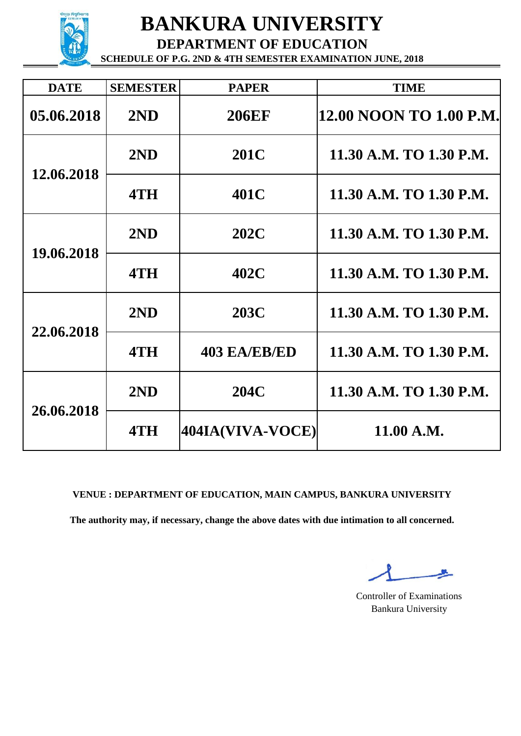

**DEPARTMENT OF EDUCATION**

**SCHEDULE OF P.G. 2ND & 4TH SEMESTER EXAMINATION JUNE, 2018**

| <b>DATE</b> | <b>SEMESTER</b> | <b>PAPER</b>        | <b>TIME</b>             |
|-------------|-----------------|---------------------|-------------------------|
| 05.06.2018  | 2ND             | <b>206EF</b>        | 12.00 NOON TO 1.00 P.M. |
| 12.06.2018  | 2ND             | <b>201C</b>         | 11.30 A.M. TO 1.30 P.M. |
|             | 4TH             | 401C                | 11.30 A.M. TO 1.30 P.M. |
| 19.06.2018  | 2ND             | <b>202C</b>         | 11.30 A.M. TO 1.30 P.M. |
|             | 4TH             | 402C                | 11.30 A.M. TO 1.30 P.M. |
| 22.06.2018  | 2ND             | <b>203C</b>         | 11.30 A.M. TO 1.30 P.M. |
|             | 4TH             | <b>403 EA/EB/ED</b> | 11.30 A.M. TO 1.30 P.M. |
| 26.06.2018  | 2ND             | <b>204C</b>         | 11.30 A.M. TO 1.30 P.M. |
|             | 4TH             | 404IA(VIVA-VOCE)    | 11.00 A.M.              |

#### **VENUE : DEPARTMENT OF EDUCATION, MAIN CAMPUS, BANKURA UNIVERSITY**

Controller of Examinations Bankura University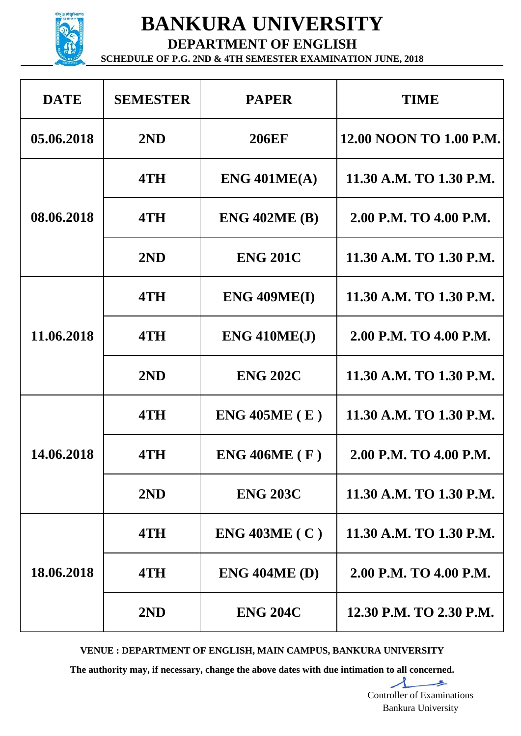

**DEPARTMENT OF ENGLISH**

**SCHEDULE OF P.G. 2ND & 4TH SEMESTER EXAMINATION JUNE, 2018**

| <b>DATE</b> | <b>SEMESTER</b> | <b>PAPER</b>         | <b>TIME</b>             |
|-------------|-----------------|----------------------|-------------------------|
| 05.06.2018  | 2ND             | <b>206EF</b>         | 12.00 NOON TO 1.00 P.M. |
|             | 4TH             | ENG 401ME(A)         | 11.30 A.M. TO 1.30 P.M. |
| 08.06.2018  | 4TH             | <b>ENG 402ME (B)</b> | 2.00 P.M. TO 4.00 P.M.  |
|             | 2ND             | <b>ENG 201C</b>      | 11.30 A.M. TO 1.30 P.M. |
| 11.06.2018  | 4TH             | ENG 409ME(I)         | 11.30 A.M. TO 1.30 P.M. |
|             | 4TH             | $ENG$ 410 $ME(J)$    | 2.00 P.M. TO 4.00 P.M.  |
|             | 2ND             | <b>ENG 202C</b>      | 11.30 A.M. TO 1.30 P.M. |
|             | 4TH             | $ENG$ 405ME $(E)$    | 11.30 A.M. TO 1.30 P.M. |
| 14.06.2018  | 4TH             | ENG 406ME (F)        | 2.00 P.M. TO 4.00 P.M.  |
|             | 2ND             | <b>ENG 203C</b>      | 11.30 A.M. TO 1.30 P.M. |
| 18.06.2018  | 4TH             | $ENG$ 403ME (C)      | 11.30 A.M. TO 1.30 P.M. |
|             | 4TH             | $ENG$ 404ME (D)      | 2.00 P.M. TO 4.00 P.M.  |
|             | 2ND             | <b>ENG 204C</b>      | 12.30 P.M. TO 2.30 P.M. |

**VENUE : DEPARTMENT OF ENGLISH, MAIN CAMPUS, BANKURA UNIVERSITY**

**The authority may, if necessary, change the above dates with due intimation to all concerned.**

 $\perp$ Controller of Examinations Bankura University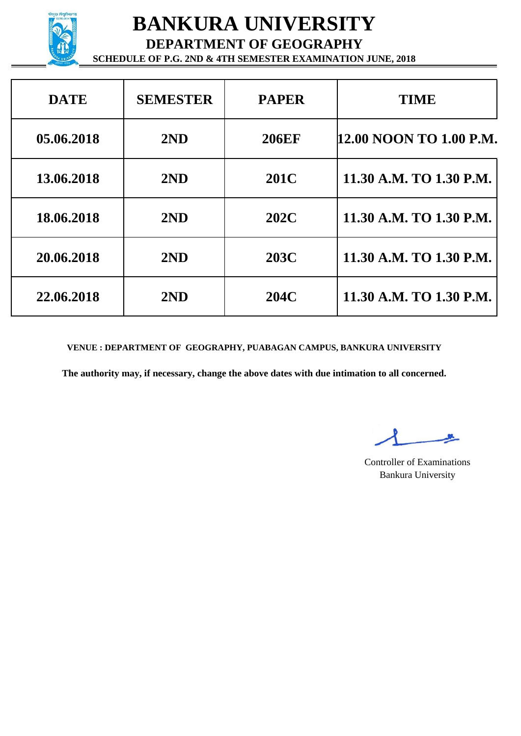

**DEPARTMENT OF GEOGRAPHY**

**SCHEDULE OF P.G. 2ND & 4TH SEMESTER EXAMINATION JUNE, 2018**

| <b>DATE</b> | <b>SEMESTER</b> | <b>PAPER</b> | <b>TIME</b>             |
|-------------|-----------------|--------------|-------------------------|
| 05.06.2018  | 2ND             | <b>206EF</b> | 12.00 NOON TO 1.00 P.M. |
| 13.06.2018  | 2ND             | <b>201C</b>  | 11.30 A.M. TO 1.30 P.M. |
| 18.06.2018  | 2ND             | 202C         | 11.30 A.M. TO 1.30 P.M. |
| 20.06.2018  | 2ND             | <b>203C</b>  | 11.30 A.M. TO 1.30 P.M. |
| 22.06.2018  | 2ND             | 204C         | 11.30 A.M. TO 1.30 P.M. |

**VENUE : DEPARTMENT OF GEOGRAPHY, PUABAGAN CAMPUS, BANKURA UNIVERSITY**

Controller of Examinations Bankura University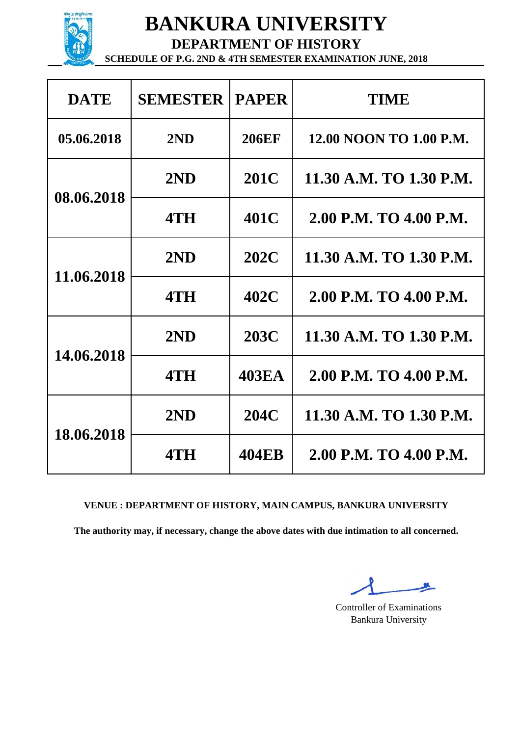

**DEPARTMENT OF HISTORY**

**SCHEDULE OF P.G. 2ND & 4TH SEMESTER EXAMINATION JUNE, 2018**

| <b>DATE</b> | <b>SEMESTER</b> | <b>PAPER</b> | <b>TIME</b>             |
|-------------|-----------------|--------------|-------------------------|
| 05.06.2018  | 2ND             | <b>206EF</b> | 12.00 NOON TO 1.00 P.M. |
| 08.06.2018  | 2ND             | 201C         | 11.30 A.M. TO 1.30 P.M. |
|             | 4TH             | 401C         | 2.00 P.M. TO 4.00 P.M.  |
| 11.06.2018  | 2ND             | 202C         | 11.30 A.M. TO 1.30 P.M. |
|             | 4TH             | 402C         | 2.00 P.M. TO 4.00 P.M.  |
| 14.06.2018  | 2ND             | <b>203C</b>  | 11.30 A.M. TO 1.30 P.M. |
|             | 4TH             | <b>403EA</b> | 2.00 P.M. TO 4.00 P.M.  |
| 18.06.2018  | 2ND             | <b>204C</b>  | 11.30 A.M. TO 1.30 P.M. |
|             | 4TH             | <b>404EB</b> | 2.00 P.M. TO 4.00 P.M.  |

### **VENUE : DEPARTMENT OF HISTORY, MAIN CAMPUS, BANKURA UNIVERSITY**

Controller of Examinations Bankura University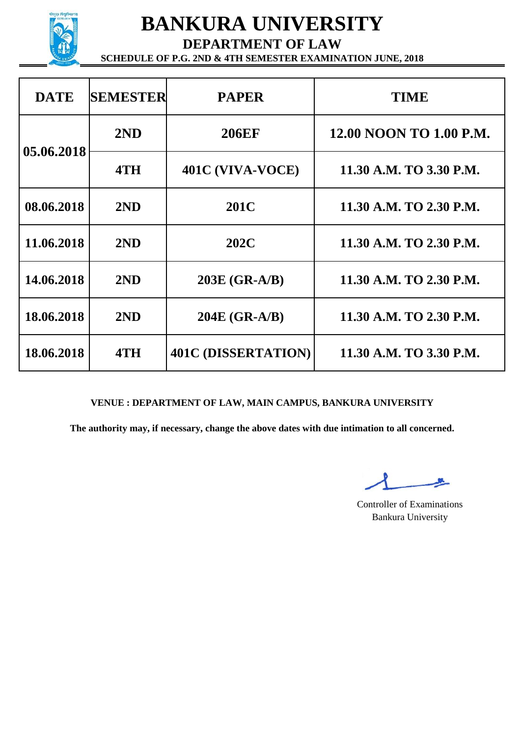

**DEPARTMENT OF LAW**

**SCHEDULE OF P.G. 2ND & 4TH SEMESTER EXAMINATION JUNE, 2018**

| <b>DATE</b> | <b>SEMESTER</b> | <b>PAPER</b>               | TIME                    |
|-------------|-----------------|----------------------------|-------------------------|
|             | 2ND             | <b>206EF</b>               | 12.00 NOON TO 1.00 P.M. |
| 05.06.2018  | 4TH             | 401C (VIVA-VOCE)           | 11.30 A.M. TO 3.30 P.M. |
| 08.06.2018  | 2ND             | <b>201C</b>                | 11.30 A.M. TO 2.30 P.M. |
| 11.06.2018  | 2ND             | <b>202C</b>                | 11.30 A.M. TO 2.30 P.M. |
| 14.06.2018  | 2ND             | 203E (GR-A/B)              | 11.30 A.M. TO 2.30 P.M. |
| 18.06.2018  | 2ND             | 204E (GR-A/B)              | 11.30 A.M. TO 2.30 P.M. |
| 18.06.2018  | 4TH             | <b>401C (DISSERTATION)</b> | 11.30 A.M. TO 3.30 P.M. |

#### **VENUE : DEPARTMENT OF LAW, MAIN CAMPUS, BANKURA UNIVERSITY**

Controller of Examinations Bankura University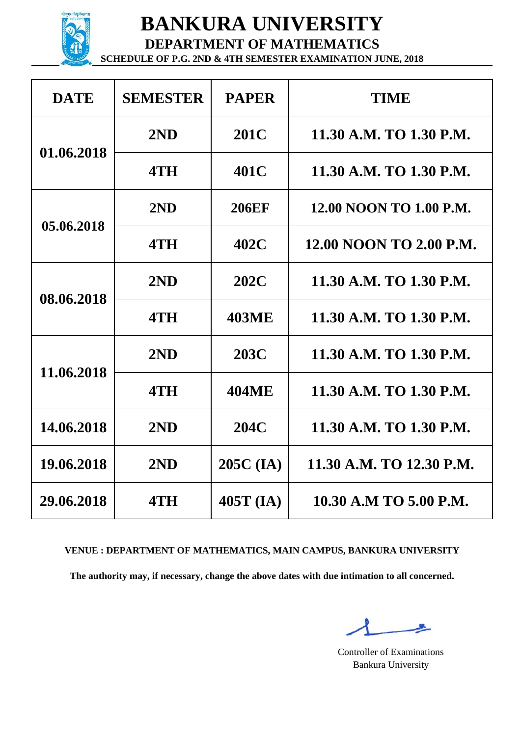

**DEPARTMENT OF MATHEMATICS SCHEDULE OF P.G. 2ND & 4TH SEMESTER EXAMINATION JUNE, 2018**

| <b>DATE</b> | <b>SEMESTER</b> | <b>PAPER</b> | <b>TIME</b>              |
|-------------|-----------------|--------------|--------------------------|
|             | 2ND             | 201C         | 11.30 A.M. TO 1.30 P.M.  |
| 01.06.2018  | 4TH             | 401C         | 11.30 A.M. TO 1.30 P.M.  |
|             | 2ND             | <b>206EF</b> | 12.00 NOON TO 1.00 P.M.  |
| 05.06.2018  | 4TH             | 402C         | 12.00 NOON TO 2.00 P.M.  |
| 08.06.2018  | 2ND             | 202C         | 11.30 A.M. TO 1.30 P.M.  |
|             | 4TH             | <b>403ME</b> | 11.30 A.M. TO 1.30 P.M.  |
| 11.06.2018  | 2ND             | 203C         | 11.30 A.M. TO 1.30 P.M.  |
|             | 4TH             | <b>404ME</b> | 11.30 A.M. TO 1.30 P.M.  |
| 14.06.2018  | 2ND             | 204C         | 11.30 A.M. TO 1.30 P.M.  |
| 19.06.2018  | 2ND             | $205C$ (IA)  | 11.30 A.M. TO 12.30 P.M. |
| 29.06.2018  | 4TH             | $405T$ (IA)  | 10.30 A.M TO 5.00 P.M.   |

#### **VENUE : DEPARTMENT OF MATHEMATICS, MAIN CAMPUS, BANKURA UNIVERSITY**

Controller of Examinations Bankura University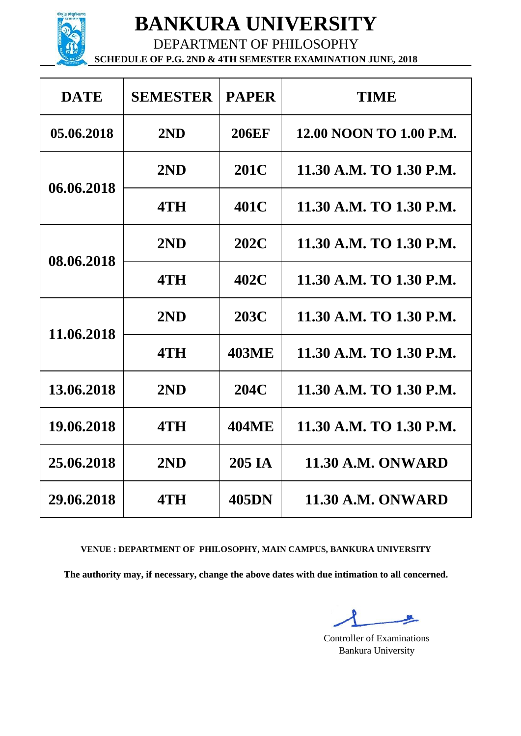

DEPARTMENT OF PHILOSOPHY **SCHEDULE OF P.G. 2ND & 4TH SEMESTER EXAMINATION JUNE, 2018**

| <b>DATE</b> | <b>SEMESTER</b> | <b>PAPER</b> | <b>TIME</b>              |
|-------------|-----------------|--------------|--------------------------|
| 05.06.2018  | 2ND             | <b>206EF</b> | 12.00 NOON TO 1.00 P.M.  |
|             | 2ND             | 201C         | 11.30 A.M. TO 1.30 P.M.  |
| 06.06.2018  | 4TH             | 401C         | 11.30 A.M. TO 1.30 P.M.  |
| 08.06.2018  | 2ND             | 202C         | 11.30 A.M. TO 1.30 P.M.  |
|             | 4TH             | 402C         | 11.30 A.M. TO 1.30 P.M.  |
| 11.06.2018  | 2ND             | 203C         | 11.30 A.M. TO 1.30 P.M.  |
|             | 4TH             | <b>403ME</b> | 11.30 A.M. TO 1.30 P.M.  |
| 13.06.2018  | 2ND             | 204C         | 11.30 A.M. TO 1.30 P.M.  |
| 19.06.2018  | 4TH             | <b>404ME</b> | 11.30 A.M. TO 1.30 P.M.  |
| 25.06.2018  | 2ND             | 205 IA       | <b>11.30 A.M. ONWARD</b> |
| 29.06.2018  | 4TH             | <b>405DN</b> | <b>11.30 A.M. ONWARD</b> |

#### **VENUE : DEPARTMENT OF PHILOSOPHY, MAIN CAMPUS, BANKURA UNIVERSITY**

Controller of Examinations Bankura University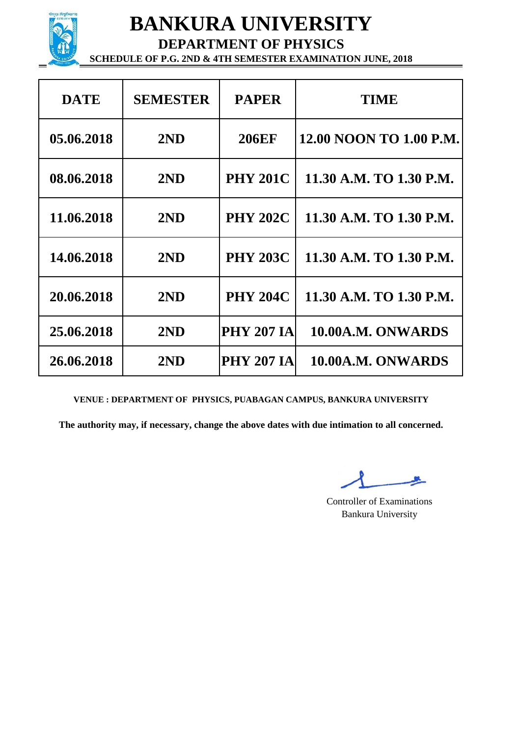

**DEPARTMENT OF PHYSICS**

**SCHEDULE OF P.G. 2ND & 4TH SEMESTER EXAMINATION JUNE, 2018**

| <b>DATE</b> | <b>SEMESTER</b> | <b>PAPER</b>      | <b>TIME</b>             |
|-------------|-----------------|-------------------|-------------------------|
| 05.06.2018  | 2ND             | <b>206EF</b>      | 12.00 NOON TO 1.00 P.M. |
| 08.06.2018  | 2ND             | <b>PHY 201C</b>   | 11.30 A.M. TO 1.30 P.M. |
| 11.06.2018  | 2ND             | <b>PHY 202C</b>   | 11.30 A.M. TO 1.30 P.M. |
| 14.06.2018  | 2ND             | <b>PHY 203C</b>   | 11.30 A.M. TO 1.30 P.M. |
| 20.06.2018  | 2ND             | <b>PHY 204C</b>   | 11.30 A.M. TO 1.30 P.M. |
| 25.06.2018  | 2ND             | <b>PHY 207 IA</b> | 10.00A.M. ONWARDS       |
| 26.06.2018  | 2ND             | <b>PHY 207 IA</b> | 10.00A.M. ONWARDS       |

**VENUE : DEPARTMENT OF PHYSICS, PUABAGAN CAMPUS, BANKURA UNIVERSITY**

Controller of Examinations Bankura University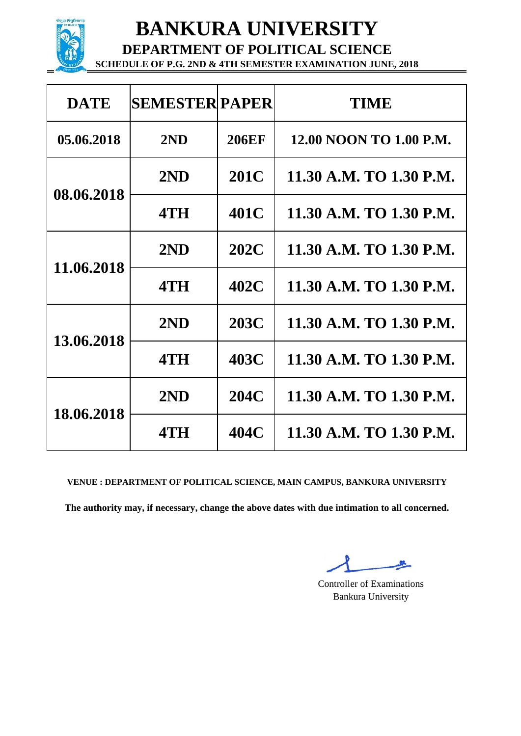

**DEPARTMENT OF POLITICAL SCIENCE**

**SCHEDULE OF P.G. 2ND & 4TH SEMESTER EXAMINATION JUNE, 2018**

| <b>DATE</b> | <b>SEMESTER PAPER</b> |              | TIME                    |
|-------------|-----------------------|--------------|-------------------------|
| 05.06.2018  | 2ND                   | <b>206EF</b> | 12.00 NOON TO 1.00 P.M. |
| 08.06.2018  | 2ND                   | 201C         | 11.30 A.M. TO 1.30 P.M. |
|             | 4TH                   | 401C         | 11.30 A.M. TO 1.30 P.M. |
| 11.06.2018  | 2ND                   | 202C         | 11.30 A.M. TO 1.30 P.M. |
|             | 4TH                   | 402C         | 11.30 A.M. TO 1.30 P.M. |
| 13.06.2018  | 2ND                   | 203C         | 11.30 A.M. TO 1.30 P.M. |
|             | 4TH                   | 403C         | 11.30 A.M. TO 1.30 P.M. |
| 18.06.2018  | 2ND                   | 204C         | 11.30 A.M. TO 1.30 P.M. |
|             | 4TH                   | 404C         | 11.30 A.M. TO 1.30 P.M. |

**VENUE : DEPARTMENT OF POLITICAL SCIENCE, MAIN CAMPUS, BANKURA UNIVERSITY**

Controller of Examinations Bankura University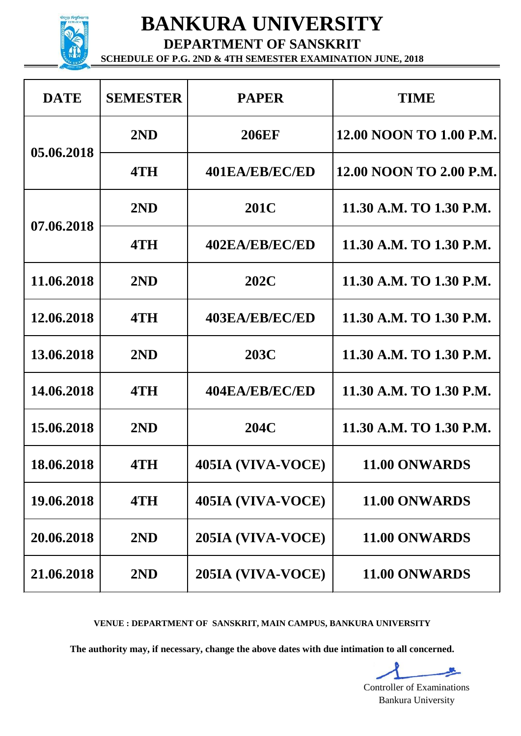

**DEPARTMENT OF SANSKRIT**

**SCHEDULE OF P.G. 2ND & 4TH SEMESTER EXAMINATION JUNE, 2018**

| <b>DATE</b> | <b>SEMESTER</b> | <b>PAPER</b>      | <b>TIME</b>                    |
|-------------|-----------------|-------------------|--------------------------------|
| 05.06.2018  | 2ND             | <b>206EF</b>      | 12.00 NOON TO 1.00 P.M.        |
|             | 4TH             | 401EA/EB/EC/ED    | <b>12.00 NOON TO 2.00 P.M.</b> |
| 07.06.2018  | 2ND             | <b>201C</b>       | 11.30 A.M. TO 1.30 P.M.        |
|             | 4TH             | 402EA/EB/EC/ED    | 11.30 A.M. TO 1.30 P.M.        |
| 11.06.2018  | 2ND             | <b>202C</b>       | 11.30 A.M. TO 1.30 P.M.        |
| 12.06.2018  | 4TH             | 403EA/EB/EC/ED    | 11.30 A.M. TO 1.30 P.M.        |
| 13.06.2018  | 2ND             | <b>203C</b>       | 11.30 A.M. TO 1.30 P.M.        |
| 14.06.2018  | 4TH             | 404EA/EB/EC/ED    | 11.30 A.M. TO 1.30 P.M.        |
| 15.06.2018  | 2ND             | 204C              | 11.30 A.M. TO 1.30 P.M.        |
| 18.06.2018  | 4TH             | 405IA (VIVA-VOCE) | 11.00 ONWARDS                  |
| 19.06.2018  | 4TH             | 405IA (VIVA-VOCE) | 11.00 ONWARDS                  |
| 20.06.2018  | 2ND             | 205IA (VIVA-VOCE) | 11.00 ONWARDS                  |
| 21.06.2018  | 2ND             | 205IA (VIVA-VOCE) | 11.00 ONWARDS                  |

**VENUE : DEPARTMENT OF SANSKRIT, MAIN CAMPUS, BANKURA UNIVERSITY**

**The authority may, if necessary, change the above dates with due intimation to all concerned.**

终\_ Controller of Examinations Bankura University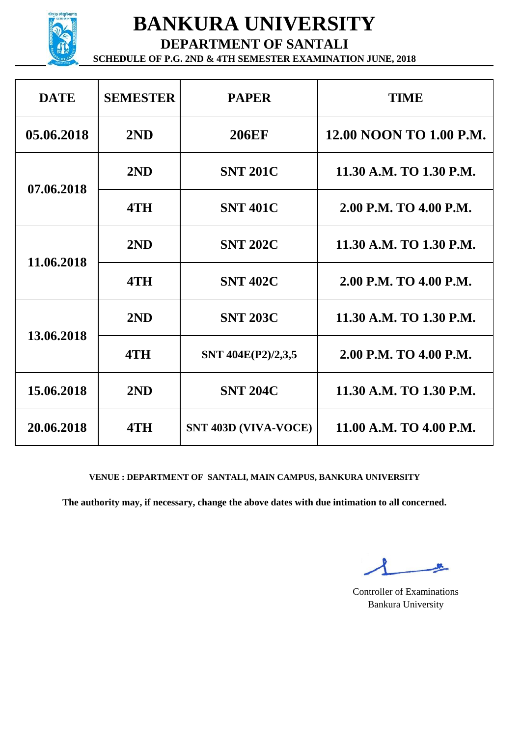

**DEPARTMENT OF SANTALI**

**SCHEDULE OF P.G. 2ND & 4TH SEMESTER EXAMINATION JUNE, 2018**

| <b>DATE</b> | <b>SEMESTER</b> | <b>PAPER</b>                | <b>TIME</b>             |
|-------------|-----------------|-----------------------------|-------------------------|
| 05.06.2018  | 2ND             | <b>206EF</b>                | 12.00 NOON TO 1.00 P.M. |
| 07.06.2018  | 2ND             | <b>SNT 201C</b>             | 11.30 A.M. TO 1.30 P.M. |
|             | 4TH             | <b>SNT 401C</b>             | 2.00 P.M. TO 4.00 P.M.  |
| 11.06.2018  | 2ND             | <b>SNT 202C</b>             | 11.30 A.M. TO 1.30 P.M. |
|             | 4TH             | <b>SNT 402C</b>             | 2.00 P.M. TO 4.00 P.M.  |
| 13.06.2018  | 2ND             | <b>SNT 203C</b>             | 11.30 A.M. TO 1.30 P.M. |
|             | 4TH             | SNT 404E(P2)/2,3,5          | 2.00 P.M. TO 4.00 P.M.  |
| 15.06.2018  | 2ND             | <b>SNT 204C</b>             | 11.30 A.M. TO 1.30 P.M. |
| 20.06.2018  | 4TH             | <b>SNT 403D (VIVA-VOCE)</b> | 11.00 A.M. TO 4.00 P.M. |

#### **VENUE : DEPARTMENT OF SANTALI, MAIN CAMPUS, BANKURA UNIVERSITY**

**SR** 

Controller of Examinations Bankura University